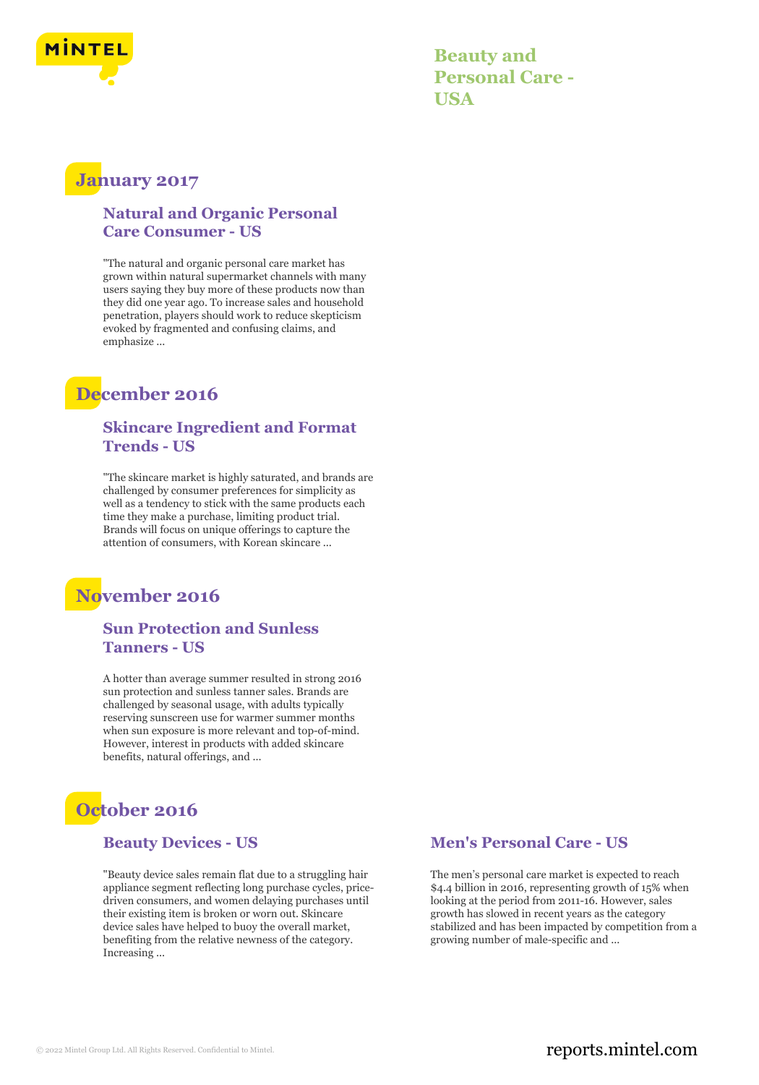

**Beauty and Personal Care - USA**

## **January 2017**

#### **Natural and Organic Personal Care Consumer - US**

"The natural and organic personal care market has grown within natural supermarket channels with many users saying they buy more of these products now than they did one year ago. To increase sales and household penetration, players should work to reduce skepticism evoked by fragmented and confusing claims, and emphasize ...

# **December 2016**

#### **Skincare Ingredient and Format Trends - US**

"The skincare market is highly saturated, and brands are challenged by consumer preferences for simplicity as well as a tendency to stick with the same products each time they make a purchase, limiting product trial. Brands will focus on unique offerings to capture the attention of consumers, with Korean skincare ...

# **November 2016**

#### **Sun Protection and Sunless Tanners - US**

A hotter than average summer resulted in strong 2016 sun protection and sunless tanner sales. Brands are challenged by seasonal usage, with adults typically reserving sunscreen use for warmer summer months when sun exposure is more relevant and top-of-mind. However, interest in products with added skincare benefits, natural offerings, and ...

# **October 2016**

#### **Beauty Devices - US**

"Beauty device sales remain flat due to a struggling hair appliance segment reflecting long purchase cycles, pricedriven consumers, and women delaying purchases until their existing item is broken or worn out. Skincare device sales have helped to buoy the overall market, benefiting from the relative newness of the category. Increasing ...

#### **Men's Personal Care - US**

The men's personal care market is expected to reach \$4.4 billion in 2016, representing growth of 15% when looking at the period from 2011-16. However, sales growth has slowed in recent years as the category stabilized and has been impacted by competition from a growing number of male-specific and ...

#### © 2022 Mintel Group Ltd. All Rights Reserved. Confidential to Mintel.  $\blacksquare$  reports.mintel.com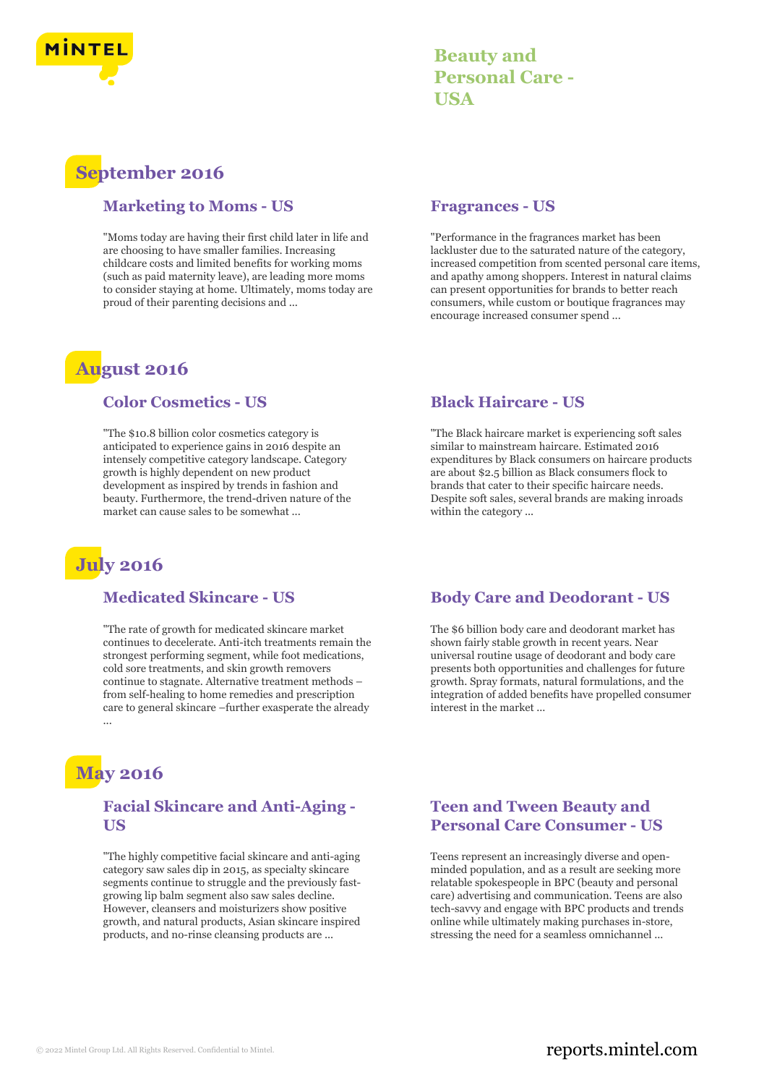

## **Beauty and Personal Care - USA**

# **September 2016**

#### **Marketing to Moms - US**

"Moms today are having their first child later in life and are choosing to have smaller families. Increasing childcare costs and limited benefits for working moms (such as paid maternity leave), are leading more moms to consider staying at home. Ultimately, moms today are proud of their parenting decisions and ...

# **August 2016**

#### **Color Cosmetics - US**

"The \$10.8 billion color cosmetics category is anticipated to experience gains in 2016 despite an intensely competitive category landscape. Category growth is highly dependent on new product development as inspired by trends in fashion and beauty. Furthermore, the trend-driven nature of the market can cause sales to be somewhat ...

# **July 2016**

#### **Medicated Skincare - US**

"The rate of growth for medicated skincare market continues to decelerate. Anti-itch treatments remain the strongest performing segment, while foot medications, cold sore treatments, and skin growth removers continue to stagnate. Alternative treatment methods – from self-healing to home remedies and prescription care to general skincare –further exasperate the already ...

# **May 2016**

#### **Facial Skincare and Anti-Aging - US**

"The highly competitive facial skincare and anti-aging category saw sales dip in 2015, as specialty skincare segments continue to struggle and the previously fastgrowing lip balm segment also saw sales decline. However, cleansers and moisturizers show positive growth, and natural products, Asian skincare inspired products, and no-rinse cleansing products are ...

#### **Fragrances - US**

"Performance in the fragrances market has been lackluster due to the saturated nature of the category, increased competition from scented personal care items, and apathy among shoppers. Interest in natural claims can present opportunities for brands to better reach consumers, while custom or boutique fragrances may encourage increased consumer spend ...

#### **Black Haircare - US**

"The Black haircare market is experiencing soft sales similar to mainstream haircare. Estimated 2016 expenditures by Black consumers on haircare products are about \$2.5 billion as Black consumers flock to brands that cater to their specific haircare needs. Despite soft sales, several brands are making inroads within the category ...

#### **Body Care and Deodorant - US**

The \$6 billion body care and deodorant market has shown fairly stable growth in recent years. Near universal routine usage of deodorant and body care presents both opportunities and challenges for future growth. Spray formats, natural formulations, and the integration of added benefits have propelled consumer interest in the market ...

#### **Teen and Tween Beauty and Personal Care Consumer - US**

Teens represent an increasingly diverse and openminded population, and as a result are seeking more relatable spokespeople in BPC (beauty and personal care) advertising and communication. Teens are also tech-savvy and engage with BPC products and trends online while ultimately making purchases in-store, stressing the need for a seamless omnichannel ...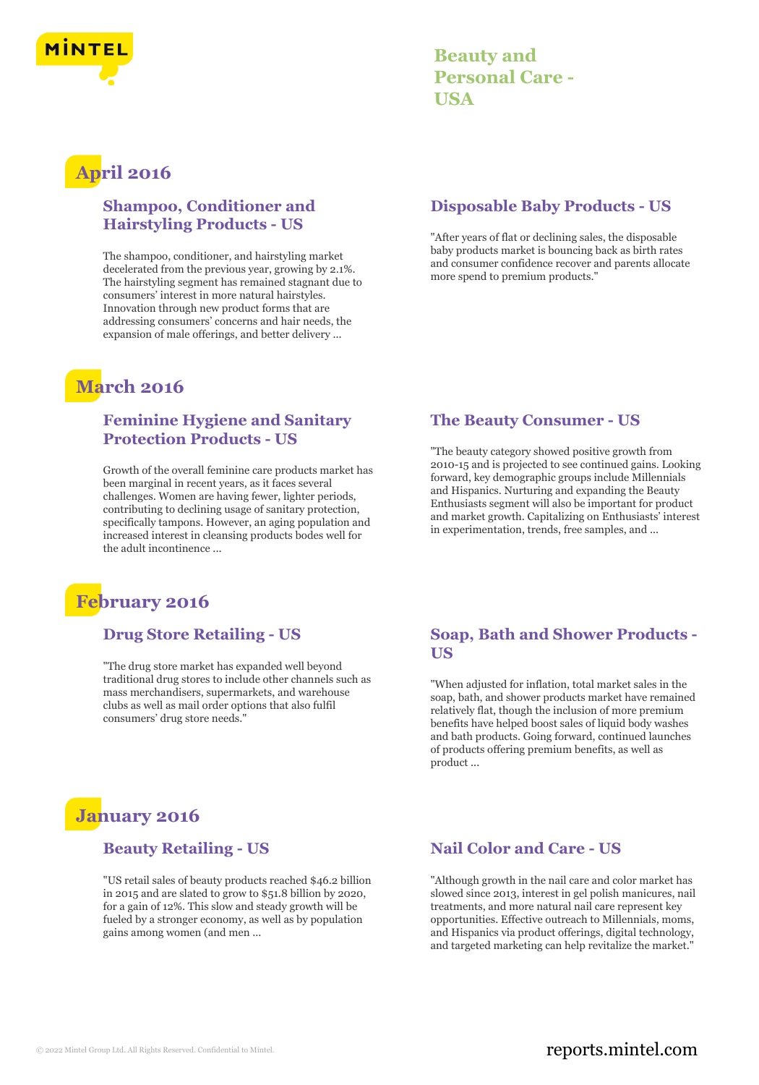

| <b>Beauty and</b>      |
|------------------------|
| <b>Personal Care -</b> |
| USA                    |

# **April 2016**

#### **Shampoo, Conditioner and Hairstyling Products - US**

The shampoo, conditioner, and hairstyling market decelerated from the previous year, growing by 2.1%. The hairstyling segment has remained stagnant due to consumers' interest in more natural hairstyles. Innovation through new product forms that are addressing consumers' concerns and hair needs, the expansion of male offerings, and better delivery ...

# **March 2016**

#### **Feminine Hygiene and Sanitary Protection Products - US**

Growth of the overall feminine care products market has been marginal in recent years, as it faces several challenges. Women are having fewer, lighter periods, contributing to declining usage of sanitary protection, specifically tampons. However, an aging population and increased interest in cleansing products bodes well for the adult incontinence ...

# **February 2016**

#### **Drug Store Retailing - US**

"The drug store market has expanded well beyond traditional drug stores to include other channels such as mass merchandisers, supermarkets, and warehouse clubs as well as mail order options that also fulfil consumers' drug store needs."

# **January 2016**

#### **Beauty Retailing - US**

"US retail sales of beauty products reached \$46.2 billion in 2015 and are slated to grow to \$51.8 billion by 2020, for a gain of 12%. This slow and steady growth will be fueled by a stronger economy, as well as by population gains among women (and men ...

#### **Disposable Baby Products - US**

"After years of flat or declining sales, the disposable baby products market is bouncing back as birth rates and consumer confidence recover and parents allocate more spend to premium products."

#### **The Beauty Consumer - US**

"The beauty category showed positive growth from 2010-15 and is projected to see continued gains. Looking forward, key demographic groups include Millennials and Hispanics. Nurturing and expanding the Beauty Enthusiasts segment will also be important for product and market growth. Capitalizing on Enthusiasts' interest in experimentation, trends, free samples, and ...

#### **Soap, Bath and Shower Products - US**

"When adjusted for inflation, total market sales in the soap, bath, and shower products market have remained relatively flat, though the inclusion of more premium benefits have helped boost sales of liquid body washes and bath products. Going forward, continued launches of products offering premium benefits, as well as product ...

#### **Nail Color and Care - US**

"Although growth in the nail care and color market has slowed since 2013, interest in gel polish manicures, nail treatments, and more natural nail care represent key opportunities. Effective outreach to Millennials, moms, and Hispanics via product offerings, digital technology, and targeted marketing can help revitalize the market."

#### © 2022 Mintel Group Ltd. All Rights Reserved. Confidential to Mintel.  $\blacksquare$  reports.mintel.com